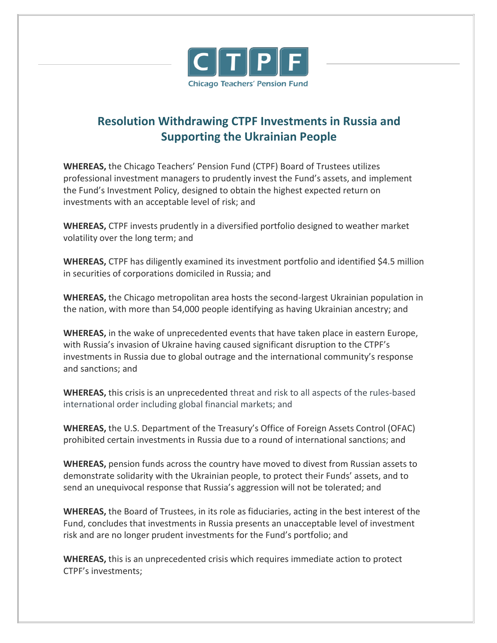

## **Resolution Withdrawing CTPF Investments in Russia and Supporting the Ukrainian People**

**WHEREAS,** the Chicago Teachers' Pension Fund (CTPF) Board of Trustees utilizes professional investment managers to prudently invest the Fund's assets, and implement the Fund's Investment Policy, designed to obtain the highest expected return on investments with an acceptable level of risk; and

**WHEREAS,** CTPF invests prudently in a diversified portfolio designed to weather market volatility over the long term; and

**WHEREAS,** CTPF has diligently examined its investment portfolio and identified \$4.5 million in securities of corporations domiciled in Russia; and

**WHEREAS,** the Chicago metropolitan area hosts the second-largest Ukrainian population in the nation, with more than 54,000 people identifying as having Ukrainian ancestry; and

**WHEREAS,** in the wake of unprecedented events that have taken place in eastern Europe, with Russia's invasion of Ukraine having caused significant disruption to the CTPF's investments in Russia due to global outrage and the international community's response and sanctions; and

**WHEREAS,** this crisis is an unprecedented threat and risk to all aspects of the rules-based international order including global financial markets; and

**WHEREAS,** the U.S. Department of the Treasury's Office of Foreign Assets Control (OFAC) prohibited certain investments in Russia due to a round of international sanctions; and

**WHEREAS,** pension funds across the country have moved to divest from Russian assets to demonstrate solidarity with the Ukrainian people, to protect their Funds' assets, and to send an unequivocal response that Russia's aggression will not be tolerated; and

**WHEREAS,** the Board of Trustees, in its role as fiduciaries, acting in the best interest of the Fund, concludes that investments in Russia presents an unacceptable level of investment risk and are no longer prudent investments for the Fund's portfolio; and

**WHEREAS,** this is an unprecedented crisis which requires immediate action to protect CTPF's investments;